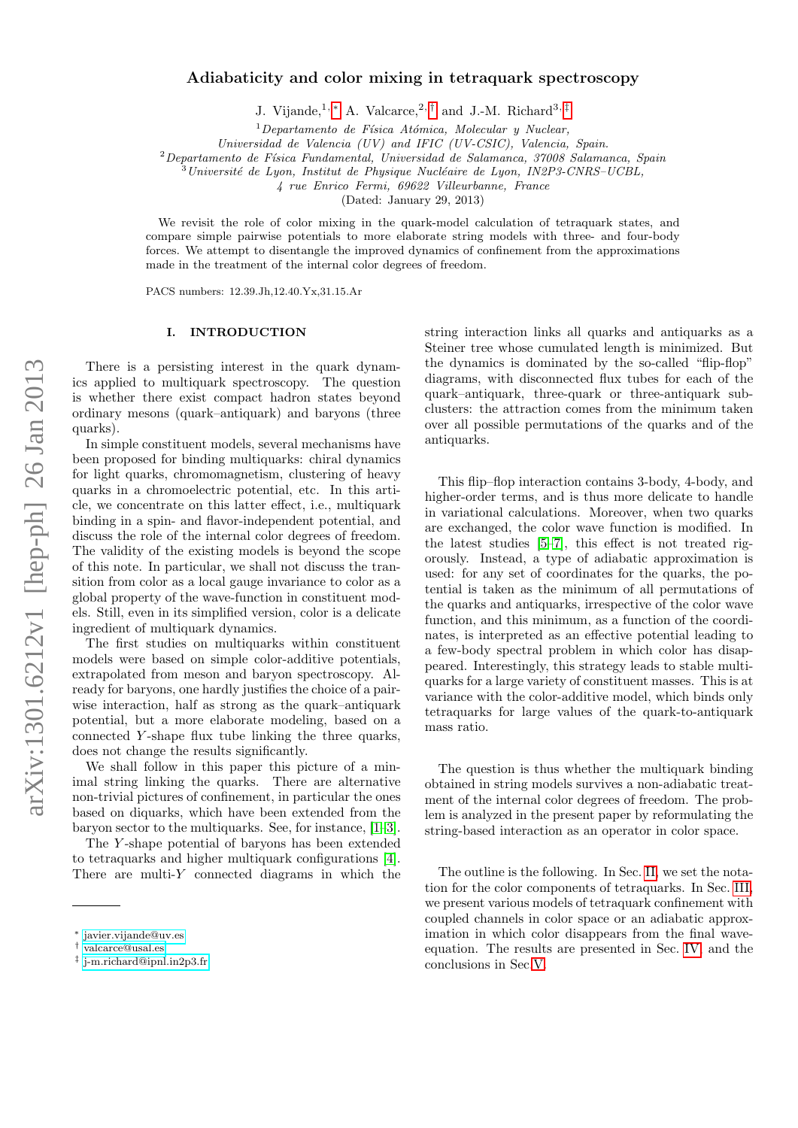# Adiabaticity and color mixing in tetraquark spectroscopy

J. Vijande,<sup>1, [∗](#page-0-0)</sup> A. Valcarce,<sup>2,[†](#page-0-1)</sup> and J.-M. Richard<sup>3,[‡](#page-0-2)</sup>

 $1$ Departamento de Física Atómica, Molecular y Nuclear,

Universidad de Valencia (UV) and IFIC (UV-CSIC), Valencia, Spain.

 $2$ Departamento de Física Fundamental, Universidad de Salamanca, 37008 Salamanca, Spain

 $\hat{B}$ Université de Lyon, Institut de Physique Nucléaire de Lyon, IN2P3-CNRS–UCBL,

4 rue Enrico Fermi, 69622 Villeurbanne, France

(Dated: January 29, 2013)

We revisit the role of color mixing in the quark-model calculation of tetraquark states, and compare simple pairwise potentials to more elaborate string models with three- and four-body forces. We attempt to disentangle the improved dynamics of confinement from the approximations made in the treatment of the internal color degrees of freedom.

PACS numbers: 12.39.Jh,12.40.Yx,31.15.Ar

## I. INTRODUCTION

There is a persisting interest in the quark dynamics applied to multiquark spectroscopy. The question is whether there exist compact hadron states beyond ordinary mesons (quark–antiquark) and baryons (three quarks).

In simple constituent models, several mechanisms have been proposed for binding multiquarks: chiral dynamics for light quarks, chromomagnetism, clustering of heavy quarks in a chromoelectric potential, etc. In this article, we concentrate on this latter effect, i.e., multiquark binding in a spin- and flavor-independent potential, and discuss the role of the internal color degrees of freedom. The validity of the existing models is beyond the scope of this note. In particular, we shall not discuss the transition from color as a local gauge invariance to color as a global property of the wave-function in constituent models. Still, even in its simplified version, color is a delicate ingredient of multiquark dynamics.

The first studies on multiquarks within constituent models were based on simple color-additive potentials, extrapolated from meson and baryon spectroscopy. Already for baryons, one hardly justifies the choice of a pairwise interaction, half as strong as the quark–antiquark potential, but a more elaborate modeling, based on a connected Y -shape flux tube linking the three quarks, does not change the results significantly.

We shall follow in this paper this picture of a minimal string linking the quarks. There are alternative non-trivial pictures of confinement, in particular the ones based on diquarks, which have been extended from the baryon sector to the multiquarks. See, for instance, [\[1–](#page-4-0)[3\]](#page-4-1).

The Y -shape potential of baryons has been extended to tetraquarks and higher multiquark configurations [\[4\]](#page-4-2). There are multi- $Y$  connected diagrams in which the string interaction links all quarks and antiquarks as a Steiner tree whose cumulated length is minimized. But the dynamics is dominated by the so-called "flip-flop" diagrams, with disconnected flux tubes for each of the quark–antiquark, three-quark or three-antiquark subclusters: the attraction comes from the minimum taken over all possible permutations of the quarks and of the antiquarks.

This flip–flop interaction contains 3-body, 4-body, and higher-order terms, and is thus more delicate to handle in variational calculations. Moreover, when two quarks are exchanged, the color wave function is modified. In the latest studies [\[5](#page-4-3)[–7\]](#page-4-4), this effect is not treated rigorously. Instead, a type of adiabatic approximation is used: for any set of coordinates for the quarks, the potential is taken as the minimum of all permutations of the quarks and antiquarks, irrespective of the color wave function, and this minimum, as a function of the coordinates, is interpreted as an effective potential leading to a few-body spectral problem in which color has disappeared. Interestingly, this strategy leads to stable multiquarks for a large variety of constituent masses. This is at variance with the color-additive model, which binds only tetraquarks for large values of the quark-to-antiquark mass ratio.

The question is thus whether the multiquark binding obtained in string models survives a non-adiabatic treatment of the internal color degrees of freedom. The problem is analyzed in the present paper by reformulating the string-based interaction as an operator in color space.

The outline is the following. In Sec. [II,](#page-1-0) we set the notation for the color components of tetraquarks. In Sec. [III,](#page-1-1) we present various models of tetraquark confinement with coupled channels in color space or an adiabatic approximation in which color disappears from the final waveequation. The results are presented in Sec. [IV,](#page-2-0) and the conclusions in Sec[.V.](#page-3-0)

<span id="page-0-0"></span><sup>∗</sup> [javier.vijande@uv.es](mailto:javier.vijande@uv.es)

<span id="page-0-1"></span><sup>†</sup> [valcarce@usal.es](mailto:valcarce@usal.es)

<span id="page-0-2"></span><sup>‡</sup> [j-m.richard@ipnl.in2p3.fr](mailto:j-m.richard@ipnl.in2p3.fr)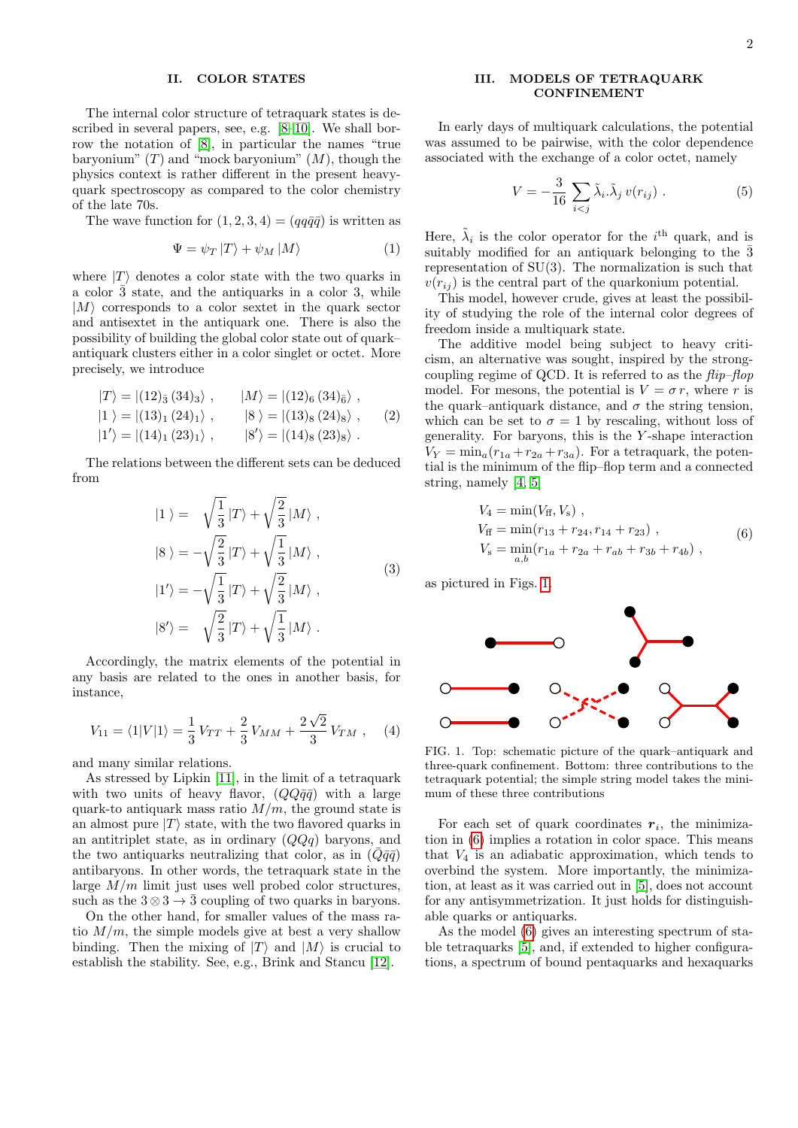#### <span id="page-1-0"></span>II. COLOR STATES

The internal color structure of tetraquark states is described in several papers, see, e.g. [\[8–](#page-4-5)[10\]](#page-4-6). We shall borrow the notation of [\[8\]](#page-4-5), in particular the names "true baryonium"  $(T)$  and "mock baryonium"  $(M)$ , though the physics context is rather different in the present heavyquark spectroscopy as compared to the color chemistry of the late 70s.

The wave function for  $(1, 2, 3, 4) = (qq\bar{q}\bar{q})$  is written as

$$
\Psi = \psi_T |T\rangle + \psi_M |M\rangle \tag{1}
$$

where  $|T\rangle$  denotes a color state with the two quarks in a color  $\bar{3}$  state, and the antiquarks in a color 3, while  $|M\rangle$  corresponds to a color sextet in the quark sector and antisextet in the antiquark one. There is also the possibility of building the global color state out of quark– antiquark clusters either in a color singlet or octet. More precisely, we introduce

$$
|T\rangle = |(12)_{\bar{3}} (34)_{\bar{3}} \rangle, \qquad |M\rangle = |(12)_{\bar{6}} (34)_{\bar{6}} \rangle ,
$$
  
\n
$$
|1\rangle = |(13)_{1} (24)_{1} \rangle, \qquad |8\rangle = |(13)_{8} (24)_{\bar{8}} \rangle, \qquad (2)
$$
  
\n
$$
|1'\rangle = |(14)_{1} (23)_{1} \rangle, \qquad |8'\rangle = |(14)_{8} (23)_{\bar{8}} \rangle.
$$

The relations between the different sets can be deduced from

$$
|1\rangle = \sqrt{\frac{1}{3}}|T\rangle + \sqrt{\frac{2}{3}}|M\rangle ,
$$
  
\n
$$
|8\rangle = -\sqrt{\frac{2}{3}}|T\rangle + \sqrt{\frac{1}{3}}|M\rangle ,
$$
  
\n
$$
|1'\rangle = -\sqrt{\frac{1}{3}}|T\rangle + \sqrt{\frac{2}{3}}|M\rangle ,
$$
  
\n
$$
|8'\rangle = \sqrt{\frac{2}{3}}|T\rangle + \sqrt{\frac{1}{3}}|M\rangle .
$$
  
\n(3)

Accordingly, the matrix elements of the potential in any basis are related to the ones in another basis, for instance,

$$
V_{11} = \langle 1|V|1 \rangle = \frac{1}{3}V_{TT} + \frac{2}{3}V_{MM} + \frac{2\sqrt{2}}{3}V_{TM}, \quad (4)
$$

and many similar relations.

As stressed by Lipkin [\[11\]](#page-4-7), in the limit of a tetraquark with two units of heavy flavor,  $(QQ\bar{q}\bar{q})$  with a large quark-to antiquark mass ratio  $M/m$ , the ground state is an almost pure  $|T\rangle$  state, with the two flavored quarks in an antitriplet state, as in ordinary  $(QQq)$  baryons, and the two antiquarks neutralizing that color, as in  $(Q\bar{q}\bar{q})$ antibaryons. In other words, the tetraquark state in the large  $M/m$  limit just uses well probed color structures, such as the  $3 \otimes 3 \rightarrow \overline{3}$  coupling of two quarks in baryons.

On the other hand, for smaller values of the mass ratio  $M/m$ , the simple models give at best a very shallow binding. Then the mixing of  $|T\rangle$  and  $|M\rangle$  is crucial to establish the stability. See, e.g., Brink and Stancu [\[12\]](#page-4-8).

## <span id="page-1-1"></span>III. MODELS OF TETRAQUARK CONFINEMENT

In early days of multiquark calculations, the potential was assumed to be pairwise, with the color dependence associated with the exchange of a color octet, namely

<span id="page-1-4"></span>
$$
V = -\frac{3}{16} \sum_{i < j} \tilde{\lambda}_i \tilde{\lambda}_j \, v(r_{ij}) \,. \tag{5}
$$

Here,  $\tilde{\lambda}_i$  is the color operator for the i<sup>th</sup> quark, and is suitably modified for an antiquark belonging to the  $\bar{3}$ representation of  $SU(3)$ . The normalization is such that  $v(r_{ij})$  is the central part of the quarkonium potential.

This model, however crude, gives at least the possibility of studying the role of the internal color degrees of freedom inside a multiquark state.

The additive model being subject to heavy criticism, an alternative was sought, inspired by the strongcoupling regime of QCD. It is referred to as the  $flip-flop$ model. For mesons, the potential is  $V = \sigma r$ , where r is the quark–antiquark distance, and  $\sigma$  the string tension, which can be set to  $\sigma = 1$  by rescaling, without loss of generality. For baryons, this is the  $Y$ -shape interaction  $V_Y = \min_a (r_{1a} + r_{2a} + r_{3a})$ . For a tetraquark, the potential is the minimum of the flip–flop term and a connected string, namely [\[4,](#page-4-2) [5\]](#page-4-3)

<span id="page-1-3"></span>
$$
V_4 = \min(V_{\text{ff}}, V_{\text{s}}) ,
$$
  
\n
$$
V_{\text{ff}} = \min(r_{13} + r_{24}, r_{14} + r_{23}) ,
$$
  
\n
$$
V_{\text{s}} = \min_{a,b}(r_{1a} + r_{2a} + r_{ab} + r_{3b} + r_{4b}) ,
$$
\n(6)

as pictured in Figs. [1.](#page-1-2)



<span id="page-1-2"></span>FIG. 1. Top: schematic picture of the quark–antiquark and three-quark confinement. Bottom: three contributions to the tetraquark potential; the simple string model takes the minimum of these three contributions

For each set of quark coordinates  $r_i$ , the minimization in [\(6\)](#page-1-3) implies a rotation in color space. This means that  $V_4$  is an adiabatic approximation, which tends to overbind the system. More importantly, the minimization, at least as it was carried out in [\[5\]](#page-4-3), does not account for any antisymmetrization. It just holds for distinguishable quarks or antiquarks.

As the model [\(6\)](#page-1-3) gives an interesting spectrum of stable tetraquarks [\[5\]](#page-4-3), and, if extended to higher configurations, a spectrum of bound pentaquarks and hexaquarks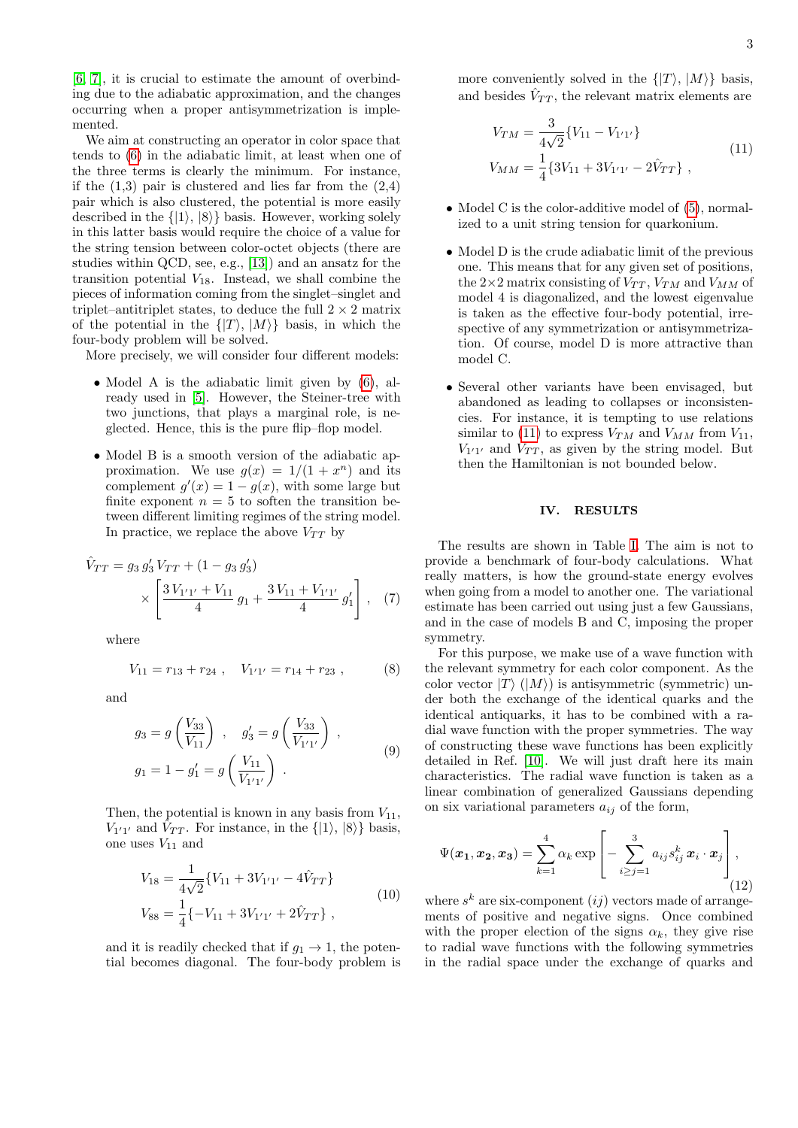[\[6,](#page-4-9) [7\]](#page-4-4), it is crucial to estimate the amount of overbinding due to the adiabatic approximation, and the changes occurring when a proper antisymmetrization is implemented.

We aim at constructing an operator in color space that tends to [\(6\)](#page-1-3) in the adiabatic limit, at least when one of the three terms is clearly the minimum. For instance, if the  $(1,3)$  pair is clustered and lies far from the  $(2,4)$ pair which is also clustered, the potential is more easily described in the  $\{|1\rangle, |8\rangle\}$  basis. However, working solely in this latter basis would require the choice of a value for the string tension between color-octet objects (there are studies within QCD, see, e.g., [\[13\]](#page-4-10)) and an ansatz for the transition potential  $V_{18}$ . Instead, we shall combine the pieces of information coming from the singlet–singlet and triplet–antitriplet states, to deduce the full  $2 \times 2$  matrix of the potential in the  $\{|T\rangle, |M\rangle\}$  basis, in which the four-body problem will be solved.

More precisely, we will consider four different models:

- Model A is the adiabatic limit given by  $(6)$ , already used in [\[5\]](#page-4-3). However, the Steiner-tree with two junctions, that plays a marginal role, is neglected. Hence, this is the pure flip–flop model.
- Model B is a smooth version of the adiabatic approximation. We use  $g(x) = 1/(1 + x^n)$  and its complement  $g'(x) = 1 - g(x)$ , with some large but finite exponent  $n = 5$  to soften the transition between different limiting regimes of the string model. In practice, we replace the above  $V_{TT}$  by

$$
\hat{V}_{TT} = g_3 g_3' V_{TT} + (1 - g_3 g_3')
$$
\n
$$
\times \left[ \frac{3 V_{1'1'} + V_{11}}{4} g_1 + \frac{3 V_{11} + V_{1'1'}}{4} g_1' \right], \quad (7)
$$

where

$$
V_{11} = r_{13} + r_{24} , \quad V_{1'1'} = r_{14} + r_{23} , \tag{8}
$$

and

$$
g_3 = g\left(\frac{V_{33}}{V_{11}}\right) , \quad g'_3 = g\left(\frac{V_{33}}{V_{1'1'}}\right) ,
$$
  

$$
g_1 = 1 - g'_1 = g\left(\frac{V_{11}}{V_{1'1'}}\right) .
$$
 (9)

Then, the potential is known in any basis from  $V_{11}$ ,  $V_{1'1'}$  and  $\hat{V}_{TT}$ . For instance, in the  $\{|1\rangle, |8\rangle\}$  basis, one uses  $V_{11}$  and

$$
V_{18} = \frac{1}{4\sqrt{2}} \{ V_{11} + 3V_{1'1'} - 4\hat{V}_{TT} \}
$$
  
\n
$$
V_{88} = \frac{1}{4} \{-V_{11} + 3V_{1'1'} + 2\hat{V}_{TT} \},
$$
\n(10)

and it is readily checked that if  $g_1 \rightarrow 1$ , the potential becomes diagonal. The four-body problem is more conveniently solved in the  $\{|T\rangle, |M\rangle\}$  basis, and besides  $\hat{V}_{TT}$ , the relevant matrix elements are

<span id="page-2-1"></span>
$$
V_{TM} = \frac{3}{4\sqrt{2}} \{V_{11} - V_{1'1'}\}
$$
  
\n
$$
V_{MM} = \frac{1}{4} \{3V_{11} + 3V_{1'1'} - 2\hat{V}_{TT}\},
$$
\n(11)

- Model C is the color-additive model of  $(5)$ , normalized to a unit string tension for quarkonium.
- Model D is the crude adiabatic limit of the previous one. This means that for any given set of positions, the  $2\times 2$  matrix consisting of  $V_{TT}$ ,  $V_{TM}$  and  $V_{MM}$  of model 4 is diagonalized, and the lowest eigenvalue is taken as the effective four-body potential, irrespective of any symmetrization or antisymmetrization. Of course, model D is more attractive than model C.
- Several other variants have been envisaged, but abandoned as leading to collapses or inconsistencies. For instance, it is tempting to use relations similar to [\(11\)](#page-2-1) to express  $V_{TM}$  and  $V_{MM}$  from  $V_{11}$ ,  $V_{1'1'}$  and  $V_{TT}$ , as given by the string model. But then the Hamiltonian is not bounded below.

# <span id="page-2-0"></span>IV. RESULTS

The results are shown in Table [I.](#page-3-1) The aim is not to provide a benchmark of four-body calculations. What really matters, is how the ground-state energy evolves when going from a model to another one. The variational estimate has been carried out using just a few Gaussians, and in the case of models B and C, imposing the proper symmetry.

For this purpose, we make use of a wave function with the relevant symmetry for each color component. As the color vector  $|T\rangle$  ( $|M\rangle$ ) is antisymmetric (symmetric) under both the exchange of the identical quarks and the identical antiquarks, it has to be combined with a radial wave function with the proper symmetries. The way of constructing these wave functions has been explicitly detailed in Ref. [\[10\]](#page-4-6). We will just draft here its main characteristics. The radial wave function is taken as a linear combination of generalized Gaussians depending on six variational parameters  $a_{ij}$  of the form,

$$
\Psi(\boldsymbol{x_1}, \boldsymbol{x_2}, \boldsymbol{x_3}) = \sum_{k=1}^4 \alpha_k \exp\left[-\sum_{i\geq j=1}^3 a_{ij} s_{ij}^k \boldsymbol{x}_i \cdot \boldsymbol{x}_j\right],\tag{12}
$$

where  $s^k$  are six-component  $(ij)$  vectors made of arrangements of positive and negative signs. Once combined with the proper election of the signs  $\alpha_k$ , they give rise to radial wave functions with the following symmetries in the radial space under the exchange of quarks and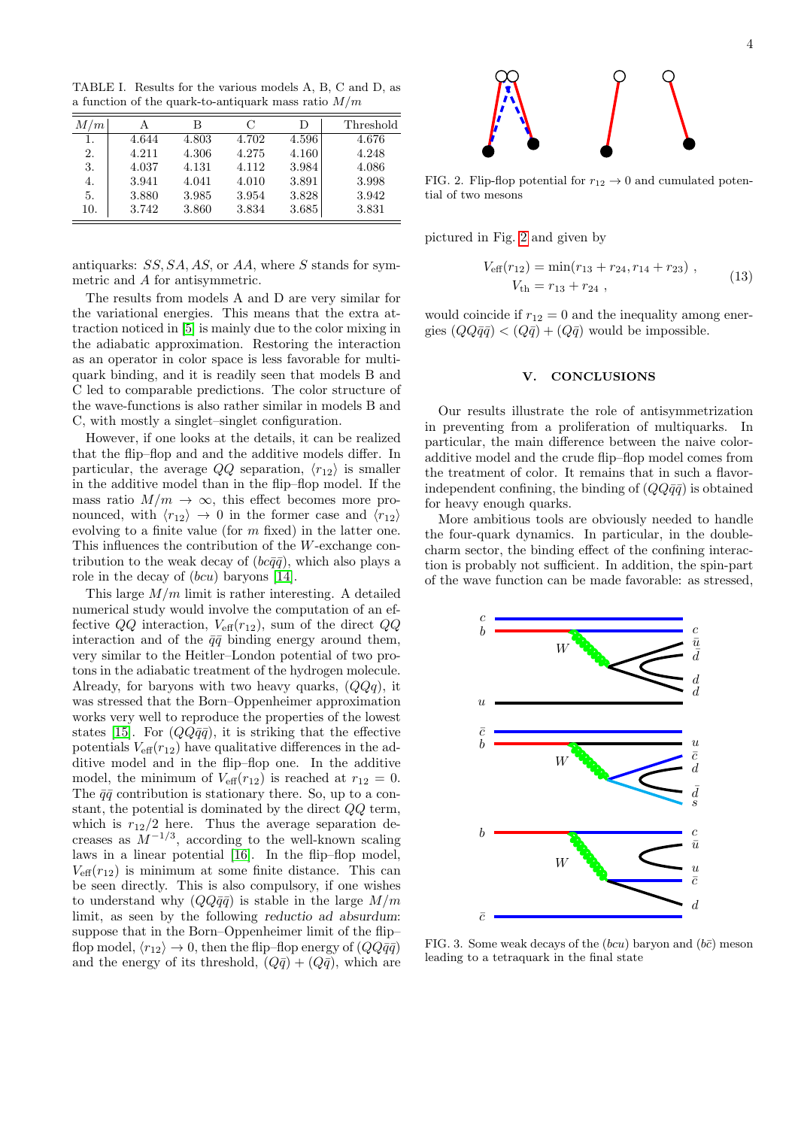<span id="page-3-1"></span>TABLE I. Results for the various models A, B, C and D, as a function of the quark-to-antiquark mass ratio  $M/m$ 

| M/m | А     | в     | C     | D     | Threshold |
|-----|-------|-------|-------|-------|-----------|
| 1.  | 4.644 | 4.803 | 4.702 | 4.596 | 4.676     |
| 2.  | 4.211 | 4.306 | 4.275 | 4.160 | 4.248     |
| 3.  | 4.037 | 4.131 | 4.112 | 3.984 | 4.086     |
| 4.  | 3.941 | 4.041 | 4.010 | 3.891 | 3.998     |
| 5.  | 3.880 | 3.985 | 3.954 | 3.828 | 3.942     |
| 10. | 3.742 | 3.860 | 3.834 | 3.685 | 3.831     |
|     |       |       |       |       |           |

antiquarks: SS, SA, AS, or AA, where S stands for symmetric and A for antisymmetric.

The results from models A and D are very similar for the variational energies. This means that the extra attraction noticed in [\[5\]](#page-4-3) is mainly due to the color mixing in the adiabatic approximation. Restoring the interaction as an operator in color space is less favorable for multiquark binding, and it is readily seen that models B and C led to comparable predictions. The color structure of the wave-functions is also rather similar in models B and C, with mostly a singlet–singlet configuration.

However, if one looks at the details, it can be realized that the flip–flop and and the additive models differ. In particular, the average  $QQ$  separation,  $\langle r_{12} \rangle$  is smaller in the additive model than in the flip–flop model. If the mass ratio  $M/m \to \infty$ , this effect becomes more pronounced, with  $\langle r_{12} \rangle \rightarrow 0$  in the former case and  $\langle r_{12} \rangle$ evolving to a finite value (for  $m$  fixed) in the latter one. This influences the contribution of the W-exchange contribution to the weak decay of  $(bc\bar{q}\bar{q})$ , which also plays a role in the decay of  $(bcu)$  baryons [\[14\]](#page-4-11).

This large  $M/m$  limit is rather interesting. A detailed numerical study would involve the computation of an effective  $QQ$  interaction,  $V_{\text{eff}}(r_{12})$ , sum of the direct  $QQ$ interaction and of the  $\bar{q}\bar{q}$  binding energy around them, very similar to the Heitler–London potential of two protons in the adiabatic treatment of the hydrogen molecule. Already, for baryons with two heavy quarks,  $(QQq)$ , it was stressed that the Born–Oppenheimer approximation works very well to reproduce the properties of the lowest states [\[15\]](#page-4-12). For  $(QQ\bar{q}\bar{q})$ , it is striking that the effective potentials  $V_{\text{eff}}(r_{12})$  have qualitative differences in the additive model and in the flip–flop one. In the additive model, the minimum of  $V_{\text{eff}}(r_{12})$  is reached at  $r_{12} = 0$ . The  $\bar{q}\bar{q}$  contribution is stationary there. So, up to a constant, the potential is dominated by the direct QQ term, which is  $r_{12}/2$  here. Thus the average separation decreases as  $M^{-1/3}$ , according to the well-known scaling laws in a linear potential [\[16\]](#page-4-13). In the flip–flop model,  $V_{\text{eff}}(r_{12})$  is minimum at some finite distance. This can be seen directly. This is also compulsory, if one wishes to understand why  $(QQ\bar{q}\bar{q})$  is stable in the large  $M/m$ limit, as seen by the following reductio ad absurdum: suppose that in the Born–Oppenheimer limit of the flip– flop model,  $\langle r_{12} \rangle \rightarrow 0$ , then the flip–flop energy of  $\left(QQ\bar{q}\bar{q}\right)$ and the energy of its threshold,  $(Q\bar{q}) + (Q\bar{q})$ , which are



<span id="page-3-2"></span>FIG. 2. Flip-flop potential for  $r_{12} \rightarrow 0$  and cumulated potential of two mesons

pictured in Fig. [2](#page-3-2) and given by

$$
V_{\text{eff}}(r_{12}) = \min(r_{13} + r_{24}, r_{14} + r_{23}),
$$
  
\n
$$
V_{\text{th}} = r_{13} + r_{24},
$$
\n(13)

would coincide if  $r_{12} = 0$  and the inequality among energies  $(QQ\bar{q}\bar{q}) < (Q\bar{q}) + (Q\bar{q})$  would be impossible.

#### <span id="page-3-0"></span>V. CONCLUSIONS

Our results illustrate the role of antisymmetrization in preventing from a proliferation of multiquarks. In particular, the main difference between the naive coloradditive model and the crude flip–flop model comes from the treatment of color. It remains that in such a flavorindependent confining, the binding of  $(QQ\bar{q}\bar{q})$  is obtained for heavy enough quarks.

More ambitious tools are obviously needed to handle the four-quark dynamics. In particular, in the doublecharm sector, the binding effect of the confining interaction is probably not sufficient. In addition, the spin-part of the wave function can be made favorable: as stressed,



<span id="page-3-3"></span>FIG. 3. Some weak decays of the  $(bcu)$  baryon and  $(b\bar{c})$  meson leading to a tetraquark in the final state